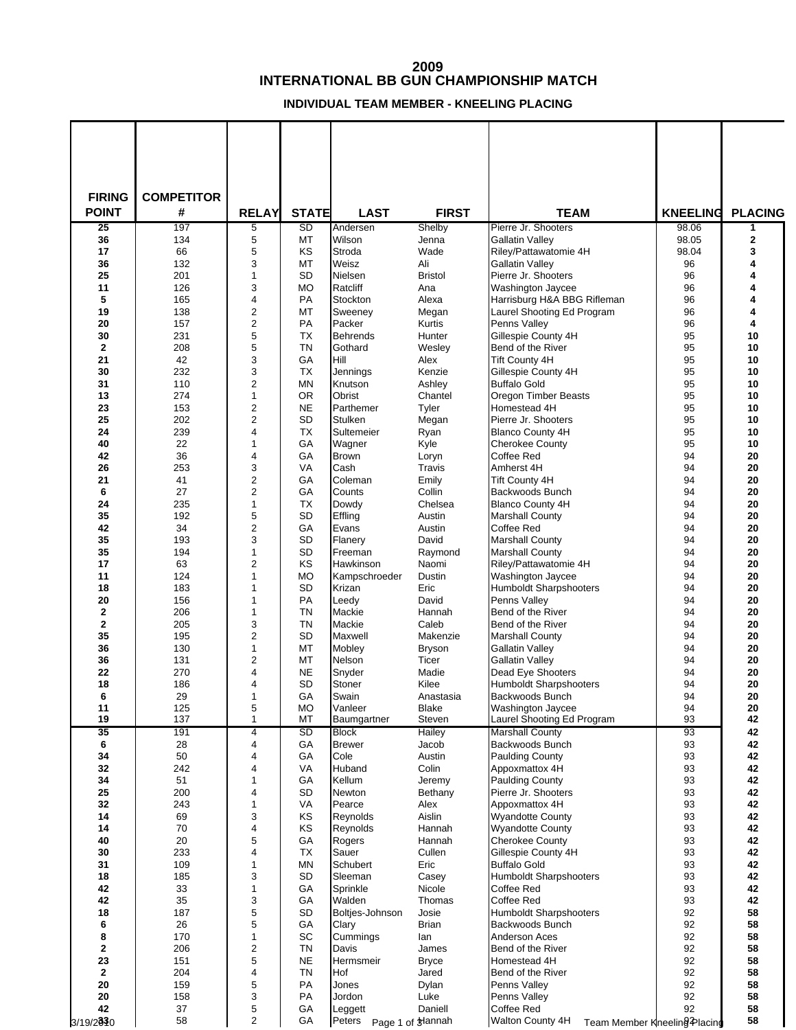## **INTERNATIONAL BB GUN CHAMPIONSHIP MATCH**

**INDIVIDUAL TEAM MEMBER - KNEELING PLACING**

| <b>FIRING</b>      | <b>COMPETITOR</b> |                                  |                        |                            |                       |                                                  |                 |                  |
|--------------------|-------------------|----------------------------------|------------------------|----------------------------|-----------------------|--------------------------------------------------|-----------------|------------------|
| <b>POINT</b>       | #                 | <b>RELAY</b>                     | <b>STATE</b>           | <b>LAST</b>                | <b>FIRST</b>          | <b>TEAM</b>                                      | <b>KNEELING</b> | <b>PLACING</b>   |
| 25                 | 197               | 5                                | SD                     | Andersen                   | Shelby                | Pierre Jr. Shooters                              | 98.06           | 1                |
| 36<br>17           | 134<br>66         | 5<br>5                           | МT<br>KS               | Wilson<br>Stroda           | Jenna<br>Wade         | <b>Gallatin Valley</b><br>Riley/Pattawatomie 4H  | 98.05<br>98.04  | $\mathbf 2$<br>3 |
| 36                 | 132               | 3                                | МT                     | Weisz                      | Ali                   | <b>Gallatin Valley</b>                           | 96              | 4                |
| 25                 | 201               | $\mathbf{1}$                     | SD                     | Nielsen                    | <b>Bristol</b>        | Pierre Jr. Shooters                              | 96              | 4                |
| 11                 | 126               | 3                                | <b>MO</b>              | Ratcliff                   | Ana                   | Washington Jaycee                                | 96              | 4                |
| 5                  | 165               | 4                                | PA                     | Stockton                   | Alexa                 | Harrisburg H&A BBG Rifleman                      | 96              | 4                |
| 19                 | 138               | $\overline{2}$                   | МT                     | Sweeney                    | Megan                 | Laurel Shooting Ed Program                       | 96              | 4                |
| 20                 | 157               | $\overline{2}$                   | <b>PA</b>              | Packer                     | Kurtis                | Penns Valley                                     | 96              | 4                |
| 30<br>$\mathbf{2}$ | 231<br>208        | 5<br>5                           | <b>TX</b><br><b>TN</b> | <b>Behrends</b><br>Gothard | Hunter                | Gillespie County 4H                              | 95<br>95        | 10<br>10         |
| 21                 | 42                | 3                                | GA                     | Hill                       | Wesley<br>Alex        | Bend of the River<br><b>Tift County 4H</b>       | 95              | 10               |
| 30                 | 232               | 3                                | <b>TX</b>              | Jennings                   | Kenzie                | Gillespie County 4H                              | 95              | 10               |
| 31                 | 110               | $\overline{2}$                   | MN                     | Knutson                    | Ashley                | <b>Buffalo Gold</b>                              | 95              | 10               |
| 13                 | 274               | $\mathbf{1}$                     | <b>OR</b>              | Obrist                     | Chantel               | <b>Oregon Timber Beasts</b>                      | 95              | 10               |
| 23                 | 153               | $\overline{2}$                   | <b>NE</b>              | Parthemer                  | Tyler                 | Homestead 4H                                     | 95              | 10               |
| 25                 | 202               | $\overline{2}$                   | SD                     | <b>Stulken</b>             | Megan                 | Pierre Jr. Shooters                              | 95              | 10               |
| 24                 | 239               | $\overline{4}$                   | <b>TX</b>              | Sultemeier                 | Ryan                  | <b>Blanco County 4H</b>                          | 95              | 10               |
| 40<br>42           | 22<br>36          | $\mathbf 1$<br>$\overline{4}$    | GA<br>GA               | Wagner<br><b>Brown</b>     | Kyle                  | <b>Cherokee County</b><br>Coffee Red             | 95<br>94        | 10<br>20         |
| 26                 | 253               | 3                                | VA                     | Cash                       | Loryn<br>Travis       | Amherst 4H                                       | 94              | 20               |
| 21                 | 41                | $\overline{2}$                   | GA                     | Coleman                    | Emily                 | <b>Tift County 4H</b>                            | 94              | 20               |
| 6                  | 27                | $\overline{2}$                   | GA                     | Counts                     | Collin                | Backwoods Bunch                                  | 94              | 20               |
| 24                 | 235               | $\mathbf{1}$                     | <b>TX</b>              | Dowdy                      | Chelsea               | <b>Blanco County 4H</b>                          | 94              | 20               |
| 35                 | 192               | 5                                | SD                     | Effling                    | Austin                | <b>Marshall County</b>                           | 94              | 20               |
| 42                 | 34                | $\overline{2}$                   | GA                     | Evans                      | Austin                | Coffee Red                                       | 94              | 20               |
| 35                 | 193               | 3                                | SD                     | Flanery                    | David                 | <b>Marshall County</b>                           | 94              | 20               |
| 35<br>17           | 194<br>63         | $\mathbf{1}$<br>$\overline{2}$   | SD<br>KS               | Freeman                    | Raymond               | <b>Marshall County</b><br>Riley/Pattawatomie 4H  | 94<br>94        | 20<br>20         |
| 11                 | 124               | 1                                | <b>MO</b>              | Hawkinson<br>Kampschroeder | Naomi<br>Dustin       | Washington Jaycee                                | 94              | 20               |
| 18                 | 183               | 1                                | SD                     | Krizan                     | Eric                  | <b>Humboldt Sharpshooters</b>                    | 94              | 20               |
| 20                 | 156               | 1                                | PA                     | Leedy                      | David                 | Penns Valley                                     | 94              | 20               |
| $\mathbf{2}$       | 206               | 1                                | TN                     | Mackie                     | Hannah                | Bend of the River                                | 94              | 20               |
| $\mathbf 2$        | 205               | 3                                | <b>TN</b>              | Mackie                     | Caleb                 | Bend of the River                                | 94              | 20               |
| 35                 | 195               | $\overline{2}$                   | <b>SD</b>              | Maxwell                    | Makenzie              | <b>Marshall County</b>                           | 94              | 20               |
| 36                 | 130               | $\mathbf{1}$                     | МT                     | Mobley                     | <b>Bryson</b>         | <b>Gallatin Valley</b>                           | 94              | 20               |
| 36<br>22           | 131<br>270        | $\overline{2}$<br>$\overline{4}$ | МT<br><b>NE</b>        | Nelson<br>Snyder           | Ticer<br>Madie        | <b>Gallatin Valley</b><br>Dead Eye Shooters      | 94<br>94        | 20<br>20         |
| 18                 | 186               | 4                                | SD                     | Stoner                     | Kilee                 | <b>Humboldt Sharpshooters</b>                    | 94              | 20               |
| 6                  | 29                | $\mathbf{1}$                     | GA                     | Swain                      | Anastasia             | Backwoods Bunch                                  | 94              | 20               |
| 11                 | 125               | 5                                | <b>MO</b>              | Vanleer                    | Blake                 | Washington Jaycee                                | 94              | $20\,$           |
| 19                 | 137               | 1                                | МT                     | Baumgartner                | Steven                | Laurel Shooting Ed Program                       | 93              | 42               |
| 35                 | 191               | 4                                | SD                     | <b>Block</b>               | <b>Hailey</b>         | <b>Marshall County</b>                           | 93              | 42               |
| 6                  | 28                | 4                                | GA                     | <b>Brewer</b>              | Jacob                 | Backwoods Bunch                                  | 93              | 42               |
| 34<br>32           | 50<br>242         | 4<br>4                           | GA<br>VA               | Cole<br>Huband             | Austin<br>Colin       | <b>Paulding County</b><br>Appoxmattox 4H         | 93<br>93        | 42<br>42         |
| 34                 | 51                | $\mathbf 1$                      | GA                     | Kellum                     | Jeremy                | <b>Paulding County</b>                           | 93              | 42               |
| 25                 | 200               | 4                                | SD                     | Newton                     | Bethany               | Pierre Jr. Shooters                              | 93              | 42               |
| 32                 | 243               | 1                                | VA                     | Pearce                     | Alex                  | Appoxmattox 4H                                   | 93              | 42               |
| 14                 | 69                | 3                                | KS                     | Reynolds                   | Aislin                | <b>Wyandotte County</b>                          | 93              | 42               |
| 14                 | 70                | 4                                | ΚS                     | Reynolds                   | Hannah                | <b>Wyandotte County</b>                          | 93              | 42               |
| 40                 | 20                | 5                                | GA                     | Rogers                     | Hannah                | <b>Cherokee County</b>                           | 93              | 42               |
| 30<br>31           | 233<br>109        | 4<br>1                           | ТX<br>MN               | Sauer<br>Schubert          | Cullen<br>Eric        | Gillespie County 4H<br><b>Buffalo Gold</b>       | 93<br>93        | 42<br>42         |
| 18                 | 185               | 3                                | <b>SD</b>              | Sleeman                    | Casey                 | <b>Humboldt Sharpshooters</b>                    | 93              | 42               |
| 42                 | 33                | $\mathbf{1}$                     | GA                     | Sprinkle                   | Nicole                | Coffee Red                                       | 93              | 42               |
| 42                 | 35                | 3                                | GA                     | Walden                     | Thomas                | Coffee Red                                       | 93              | 42               |
| 18                 | 187               | 5                                | SD                     | Boltjes-Johnson            | Josie                 | <b>Humboldt Sharpshooters</b>                    | 92              | 58               |
| 6                  | 26                | 5                                | GA                     | Clary                      | Brian                 | Backwoods Bunch                                  | 92              | 58               |
| 8                  | 170               | $\mathbf{1}$                     | SC                     | Cummings                   | lan                   | Anderson Aces                                    | 92              | 58               |
| 2<br>23            | 206<br>151        | $\overline{c}$<br>5              | TN<br><b>NE</b>        | Davis<br>Hermsmeir         | James<br><b>Bryce</b> | Bend of the River<br>Homestead 4H                | 92<br>92        | 58<br>58         |
| $\mathbf 2$        | 204               | 4                                | TN                     | Hof                        | Jared                 | Bend of the River                                | 92              | 58               |
| 20                 | 159               | 5                                | PA                     | Jones                      | Dylan                 | Penns Valley                                     | 92              | 58               |
| 20                 | 158               | 3                                | PA                     | Jordon                     | Luke                  | Penns Valley                                     | 92              | 58               |
| 42                 | 37                | 5                                | GA                     | Leggett                    | Daniell               | Coffee Red                                       | 92              | 58               |
| 3/19/2030          | 58                | $\overline{2}$                   | GA                     | Peters Page 1 of trannah   |                       | Walton County 4H<br>Team Member Kneeling Placing |                 | 58               |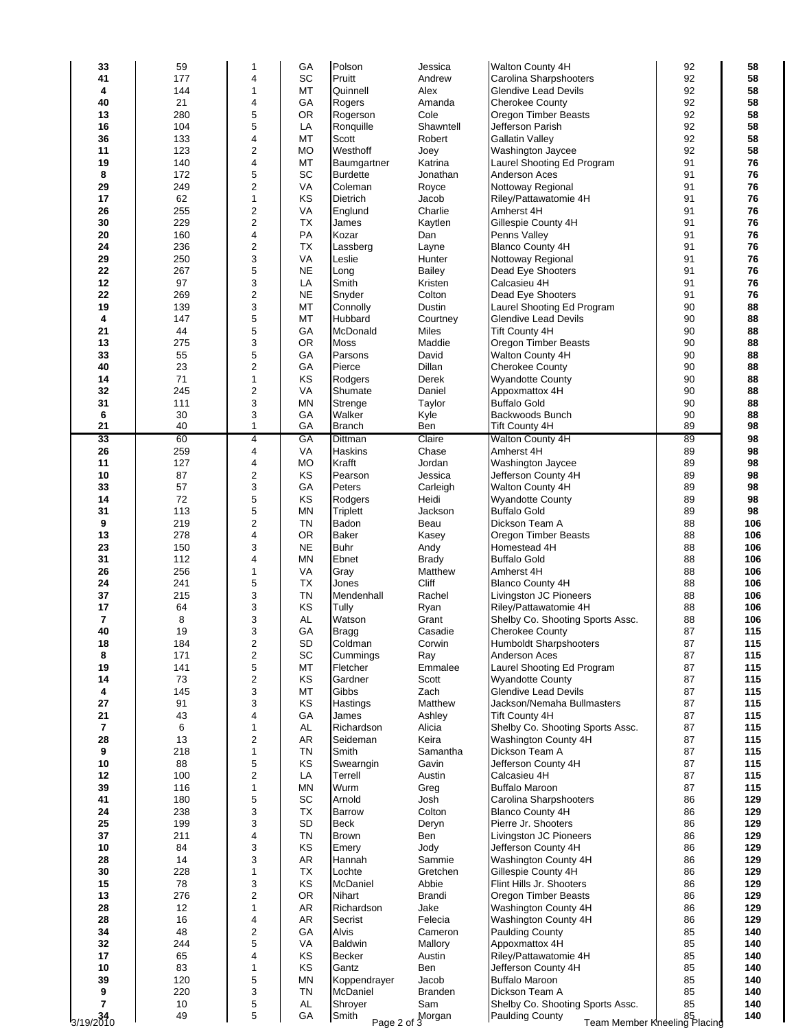| 33                       | 59  | 1                       | GA        | Polson          | Jessica            | Walton County 4H                                       | 92       | 58         |
|--------------------------|-----|-------------------------|-----------|-----------------|--------------------|--------------------------------------------------------|----------|------------|
| 41                       | 177 | 4                       | SC        | Pruitt          | Andrew             | Carolina Sharpshooters                                 | 92       | 58         |
| 4                        | 144 | $\mathbf{1}$            | МT        | Quinnell        | Alex               | Glendive Lead Devils                                   | 92       | 58         |
| 40                       | 21  | 4                       | GA        | Rogers          | Amanda             | <b>Cherokee County</b>                                 | 92       | 58         |
| 13                       | 280 | 5                       | <b>OR</b> | Rogerson        | Cole               | Oregon Timber Beasts                                   | 92       | 58         |
| 16                       | 104 | 5                       | LA        | Ronquille       | Shawntell          | Jefferson Parish                                       | 92       | 58         |
| 36                       | 133 | 4                       | МT        | Scott           | Robert             | <b>Gallatin Valley</b>                                 | 92       | 58         |
| 11                       | 123 | $\overline{c}$          | <b>MO</b> | Westhoff        | Joey               | Washington Jaycee                                      | 92       | 58         |
| 19                       | 140 | 4                       | МT        | Baumgartner     | Katrina            | Laurel Shooting Ed Program                             | 91       | 76         |
| 8                        | 172 | 5                       | SC        | <b>Burdette</b> | Jonathan           | Anderson Aces                                          | 91       | 76         |
| 29                       | 249 | $\overline{\mathbf{c}}$ | VA        | Coleman         | Royce              | Nottoway Regional                                      | 91       | 76         |
| 17                       | 62  | $\mathbf{1}$            | KS        | <b>Dietrich</b> | Jacob              | Riley/Pattawatomie 4H                                  | 91       | 76         |
| 26                       | 255 | $\overline{c}$          | VA        | Englund         | Charlie            | Amherst 4H                                             | 91       | 76         |
| 30                       | 229 | $\overline{2}$          | <b>TX</b> | James           | Kaytlen            | Gillespie County 4H                                    | 91       | 76         |
| 20                       | 160 | 4                       | PA        | Kozar           | Dan                | Penns Valley                                           | 91       | 76         |
| 24                       | 236 | $\overline{c}$          | <b>TX</b> | Lassberg        | Layne              | <b>Blanco County 4H</b>                                | 91       | 76         |
| 29                       | 250 | 3                       | VA        | Leslie          | Hunter             | Nottoway Regional                                      | 91       | 76         |
| 22                       | 267 | 5                       | <b>NE</b> | Long            | Bailey             | Dead Eye Shooters                                      | 91       | 76         |
| 12                       | 97  | 3                       | LA        | Smith           | Kristen            | Calcasieu 4H                                           | 91       | 76         |
| 22                       | 269 | $\overline{\mathbf{c}}$ | <b>NE</b> | Snyder          | Colton             | Dead Eye Shooters                                      | 91       | 76         |
| 19                       | 139 | 3                       | МT        | Connolly        | Dustin             | Laurel Shooting Ed Program                             | 90       | 88         |
| 4                        | 147 | 5                       | МT        | Hubbard         | Courtney           | <b>Glendive Lead Devils</b>                            | 90       | 88         |
| 21                       | 44  | 5                       | GА        | McDonald        | Miles              | <b>Tift County 4H</b>                                  | 90       | 88         |
| 13                       | 275 | 3                       | <b>OR</b> | Moss            | Maddie             | Oregon Timber Beasts                                   | 90       | 88         |
| 33                       | 55  | 5                       | GA        | Parsons         | David              | Walton County 4H                                       | 90       | 88         |
|                          |     |                         |           |                 |                    |                                                        |          |            |
| 40                       | 23  | $\overline{c}$          | GA        | Pierce          | Dillan             | <b>Cherokee County</b>                                 | 90       | 88         |
| 14                       | 71  | $\mathbf{1}$            | KS        | Rodgers         | Derek              | <b>Wyandotte County</b>                                | 90       | 88         |
| 32                       | 245 | $\overline{c}$          | VA        | Shumate         | Daniel             | Appoxmattox 4H                                         | 90       | 88         |
| 31                       | 111 | 3                       | MN        | Strenge         | Taylor             | <b>Buffalo Gold</b>                                    | 90       | 88         |
| 6                        | 30  | 3                       | GA        | Walker          | Kyle               | Backwoods Bunch                                        | 90       | 88         |
| 21                       | 40  | $\mathbf{1}$            | GA        | <b>Branch</b>   | Ben                | <b>Tift County 4H</b>                                  | 89       | 98         |
| 33                       | 60  | $\overline{4}$          | GА        | Dittman         | Claire             | Walton County 4H                                       | 89       | 98         |
| 26                       | 259 | $\overline{4}$          | VA        | Haskins         | Chase              | Amherst 4H                                             | 89       | 98         |
| 11                       | 127 | 4                       | <b>MO</b> | Krafft          | Jordan             | Washington Jaycee                                      | 89       | 98         |
| 10                       | 87  | $\overline{\mathbf{c}}$ | KS        | Pearson         | Jessica            | Jefferson County 4H                                    | 89       | 98         |
| 33                       | 57  | 3                       | GA        | Peters          | Carleigh           | Walton County 4H                                       | 89       | 98         |
| 14                       | 72  | 5                       | KS        | Rodgers         | Heidi              | <b>Wyandotte County</b>                                | 89       | 98         |
| 31                       | 113 | 5                       | <b>MN</b> | Triplett        | Jackson            | <b>Buffalo Gold</b>                                    | 89       | 98         |
| 9                        | 219 | $\overline{c}$          | <b>TN</b> | Badon           | Beau               | Dickson Team A                                         | 88       | 106        |
| 13                       | 278 | 4                       | OR        | <b>Baker</b>    | Kasey              | Oregon Timber Beasts                                   | 88       | 106        |
| 23                       | 150 | 3                       | <b>NE</b> | <b>Buhr</b>     | Andy               | Homestead 4H                                           | 88       | 106        |
| 31                       | 112 | 4                       | MN        | Ebnet           | <b>Brady</b>       | <b>Buffalo Gold</b>                                    | 88       | 106        |
| 26                       | 256 | $\mathbf{1}$            | VA        | Gray            | Matthew            | Amherst 4H                                             | 88       | 106        |
| 24                       | 241 | 5                       | TX        | Jones           | Cliff              | <b>Blanco County 4H</b>                                | 88       | 106        |
| 37                       | 215 | 3                       | TN        | Mendenhall      | Rachel             | Livingston JC Pioneers                                 | 88       | 106        |
| 17                       | 64  | 3                       | KS        | Tully           | Ryan               | Riley/Pattawatomie 4H                                  | 88       | 106        |
| $\overline{\phantom{a}}$ | 8   | 3                       | AL.       | Watson          | Grant              | Shelby Co. Shooting Sports Assc.                       | 88       | 106        |
| 40                       | 19  | 3                       | GA        | <b>Bragg</b>    | Casadie            | <b>Cherokee County</b>                                 | 87       | 115        |
| 18                       | 184 | $\overline{2}$          | <b>SD</b> | Coldman         | Corwin             | Humboldt Sharpshooters                                 | 87       | 115        |
| 8                        | 171 | $\overline{\mathbf{c}}$ | SC        | Cummings        | Ray                | Anderson Aces                                          | 87       | 115        |
| 19                       | 141 | 5                       | МT        | Fletcher        | Emmalee            | Laurel Shooting Ed Program                             | 87       | 115        |
| 14                       | 73  | $\overline{c}$          | KS        | Gardner         | Scott              | <b>Wyandotte County</b>                                | 87       | 115        |
| 4                        | 145 | 3                       | MT        | Gibbs           | Zach               | <b>Glendive Lead Devils</b>                            | 87       | 115        |
| 27                       | 91  | 3                       | KS        | Hastings        | Matthew            | Jackson/Nemaha Bullmasters                             | 87       | 115        |
| 21                       | 43  | 4                       | GА        | James           | Ashley             | Tift County 4H                                         | 87       | 115        |
| 7                        | 6   | $\mathbf{1}$            | <b>AL</b> | Richardson      | Alicia             | Shelby Co. Shooting Sports Assc.                       | 87       | 115        |
| 28                       | 13  | $\overline{\mathbf{c}}$ | AR        | Seideman        | Keira              | Washington County 4H                                   | 87       | 115        |
| 9                        | 218 | $\mathbf{1}$            | <b>TN</b> | Smith           | Samantha           | Dickson Team A                                         | 87       | 115        |
| 10                       | 88  | 5                       | KS        | Swearngin       | Gavin              | Jefferson County 4H                                    | 87       | 115        |
| 12                       | 100 | $\overline{2}$          | LA        | Terrell         | Austin             | Calcasieu 4H                                           | 87       | 115        |
| 39                       | 116 | 1                       | <b>MN</b> | Wurm            | Greg               | <b>Buffalo Maroon</b>                                  | 87       | 115        |
| 41                       | 180 | 5                       | SC        | Arnold          | Josh               | Carolina Sharpshooters                                 | 86       | 129        |
| 24                       | 238 | 3                       | <b>TX</b> | <b>Barrow</b>   | Colton             | <b>Blanco County 4H</b>                                | 86       | 129        |
| 25                       | 199 | 3                       | SD        | <b>Beck</b>     | Deryn              | Pierre Jr. Shooters                                    | 86       | 129        |
| 37                       | 211 | 4                       | <b>TN</b> | <b>Brown</b>    | Ben                | Livingston JC Pioneers                                 | 86       | 129        |
| 10                       | 84  | 3                       | KS        | Emery           | Jody               | Jefferson County 4H                                    | 86       | 129        |
| 28                       | 14  | 3                       | AR        | Hannah          | Sammie             | Washington County 4H                                   | 86       | 129        |
| 30                       | 228 | $\mathbf{1}$            | TX        | Lochte          | Gretchen           | Gillespie County 4H                                    | 86       | 129        |
| 15                       | 78  | 3                       | KS        | McDaniel        | Abbie              | Flint Hills Jr. Shooters                               | 86       | 129        |
| 13                       | 276 | $\overline{\mathbf{c}}$ | <b>OR</b> | Nihart          | Brandi             | Oregon Timber Beasts                                   | 86       | 129        |
| 28                       | 12  | 1                       | AR        | Richardson      | Jake               | Washington County 4H                                   | 86       | 129        |
| 28                       | 16  | 4                       | AR        | Secrist         | Felecia            | Washington County 4H                                   | 86       | 129        |
| 34                       | 48  | $\overline{c}$          | GА        | Alvis           | Cameron            | <b>Paulding County</b>                                 | 85       | 140        |
| 32                       | 244 | 5                       | VA        | <b>Baldwin</b>  |                    |                                                        | 85       | 140        |
| 17                       | 65  | 4                       | KS        | <b>Becker</b>   | Mallory            | Appoxmattox 4H                                         | 85       |            |
| 10                       | 83  |                         | KS        |                 | Austin             | Riley/Pattawatomie 4H                                  | 85       | 140<br>140 |
|                          |     | 1                       |           | Gantz           | Ben                | Jefferson County 4H                                    |          |            |
| 39                       | 120 | 5                       | <b>MN</b> | Koppendrayer    | Jacob              | <b>Buffalo Maroon</b>                                  | 85       | 140        |
| 9<br>$\overline{7}$      | 220 | 3                       | <b>TN</b> | McDaniel        | <b>Branden</b>     | Dickson Team A                                         | 85<br>85 | 140        |
|                          | 10  | 5<br>5                  | AL        | Shroyer         | Sam                | Shelby Co. Shooting Sports Assc.                       |          | 140        |
| 3/19/2010                | 49  |                         | GA        | Smith           | Page 2 of 3 Morgan | <b>Paulding County</b><br>Team Member Kneeling Placing |          | 140        |